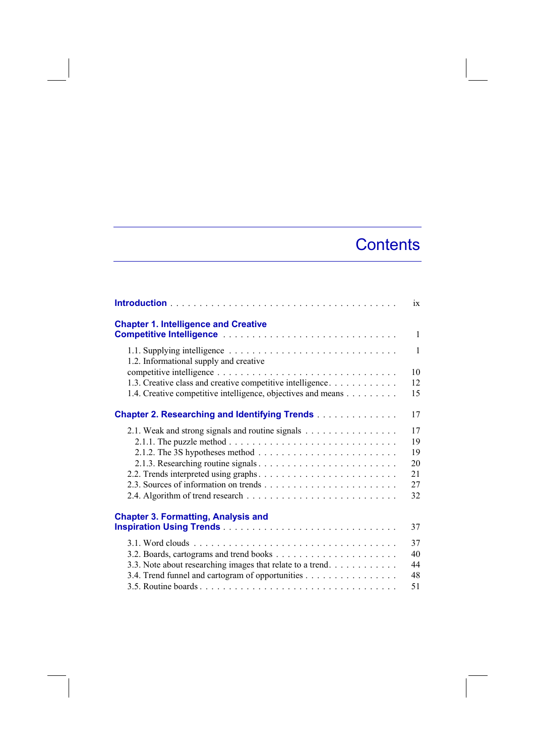## **Contents**

|                                                                                    | ix           |
|------------------------------------------------------------------------------------|--------------|
| <b>Chapter 1. Intelligence and Creative</b>                                        |              |
|                                                                                    | $\mathbf{1}$ |
| 1.2. Informational supply and creative                                             | $\mathbf{1}$ |
|                                                                                    | 10           |
| 1.3. Creative class and creative competitive intelligence.                         | 12           |
| 1.4. Creative competitive intelligence, objectives and means                       | 15           |
| <b>Chapter 2. Researching and Identifying Trends</b>                               | 17           |
| 2.1. Weak and strong signals and routine signals                                   | 17           |
|                                                                                    | 19           |
| 2.1.2. The 3S hypotheses method $\ldots \ldots \ldots \ldots \ldots \ldots \ldots$ | 19           |
|                                                                                    | 20           |
|                                                                                    | 21           |
|                                                                                    | 27           |
|                                                                                    | 32           |
| <b>Chapter 3. Formatting, Analysis and</b>                                         |              |
|                                                                                    | 37           |
|                                                                                    | 37           |
|                                                                                    | 40           |
| 3.3. Note about researching images that relate to a trend                          | 44           |
| 3.4. Trend funnel and cartogram of opportunities                                   | 48           |
|                                                                                    | 51           |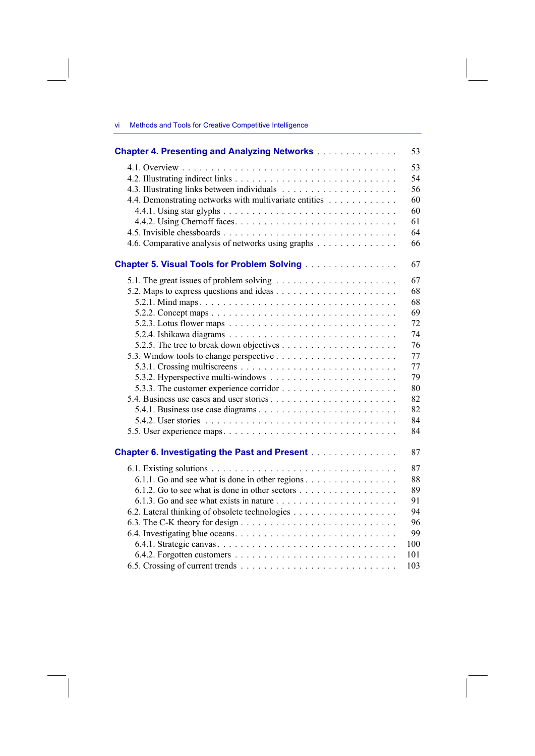## vi Methods and Tools for Creative Competitive Intelligence

| <b>Chapter 4. Presenting and Analyzing Networks</b>                 | 53       |
|---------------------------------------------------------------------|----------|
|                                                                     | 53<br>54 |
|                                                                     | 56       |
| 4.4. Demonstrating networks with multivariate entities              | 60       |
|                                                                     | 60<br>61 |
|                                                                     | 64       |
| 4.6. Comparative analysis of networks using graphs                  | 66       |
|                                                                     |          |
| <b>Chapter 5. Visual Tools for Problem Solving [1] Algebra 2014</b> | 67       |
|                                                                     | 67       |
|                                                                     | 68       |
|                                                                     | 68       |
|                                                                     | 69       |
|                                                                     | 72       |
|                                                                     | 74       |
|                                                                     | 76       |
|                                                                     | 77       |
|                                                                     | 77       |
|                                                                     | 79       |
|                                                                     | 80       |
|                                                                     | 82       |
|                                                                     | 82       |
|                                                                     | 84       |
|                                                                     | 84       |
|                                                                     |          |
| <b>Chapter 6. Investigating the Past and Present</b>                | 87       |
|                                                                     | 87       |
| 6.1.1. Go and see what is done in other regions                     | 88       |
|                                                                     | 89       |
|                                                                     | 91       |
|                                                                     | 94       |
|                                                                     | 96       |
|                                                                     | 99       |
|                                                                     | 100      |
|                                                                     | 101      |
|                                                                     | 103      |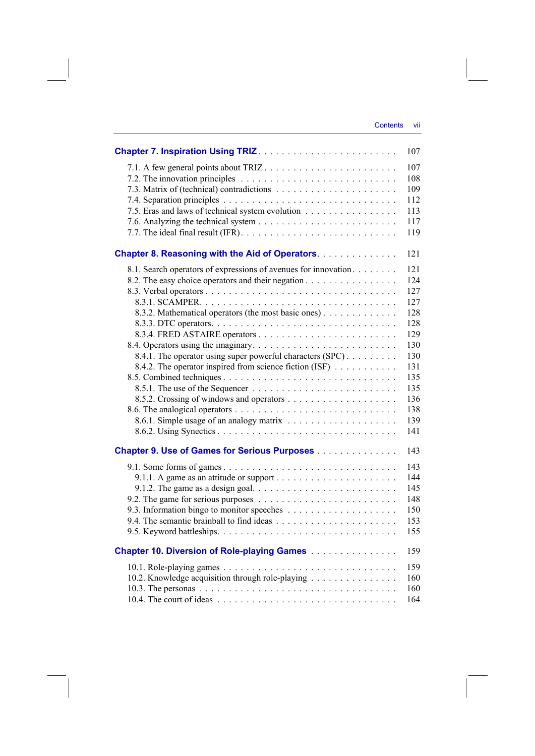|                                                                                      | 107 |
|--------------------------------------------------------------------------------------|-----|
|                                                                                      | 107 |
|                                                                                      | 108 |
|                                                                                      | 109 |
|                                                                                      | 112 |
| 7.5. Eras and laws of technical system evolution                                     | 113 |
|                                                                                      | 117 |
|                                                                                      | 119 |
| <b>Chapter 8. Reasoning with the Aid of Operators.</b>                               | 121 |
| 8.1. Search operators of expressions of avenues for innovation                       | 121 |
| 8.2. The easy choice operators and their negation                                    | 124 |
|                                                                                      | 127 |
|                                                                                      | 127 |
| 8.3.2. Mathematical operators (the most basic ones)                                  | 128 |
|                                                                                      | 128 |
|                                                                                      | 129 |
|                                                                                      | 130 |
| 8.4.1. The operator using super powerful characters (SPC)                            | 130 |
| 8.4.2. The operator inspired from science fiction (ISF)                              | 131 |
|                                                                                      | 135 |
|                                                                                      | 135 |
|                                                                                      | 136 |
|                                                                                      | 138 |
|                                                                                      | 139 |
|                                                                                      | 141 |
| <b>Chapter 9. Use of Games for Serious Purposes</b>                                  | 143 |
|                                                                                      | 143 |
|                                                                                      | 144 |
| 9.1.2. The game as a design goal. $\ldots \ldots \ldots \ldots \ldots \ldots \ldots$ | 145 |
|                                                                                      | 148 |
|                                                                                      | 150 |
|                                                                                      | 153 |
|                                                                                      | 155 |
| <b>Chapter 10. Diversion of Role-playing Games [1] Allen Lings And School</b>        | 159 |
|                                                                                      | 159 |
| 10.2. Knowledge acquisition through role-playing                                     | 160 |
|                                                                                      | 160 |
|                                                                                      | 164 |